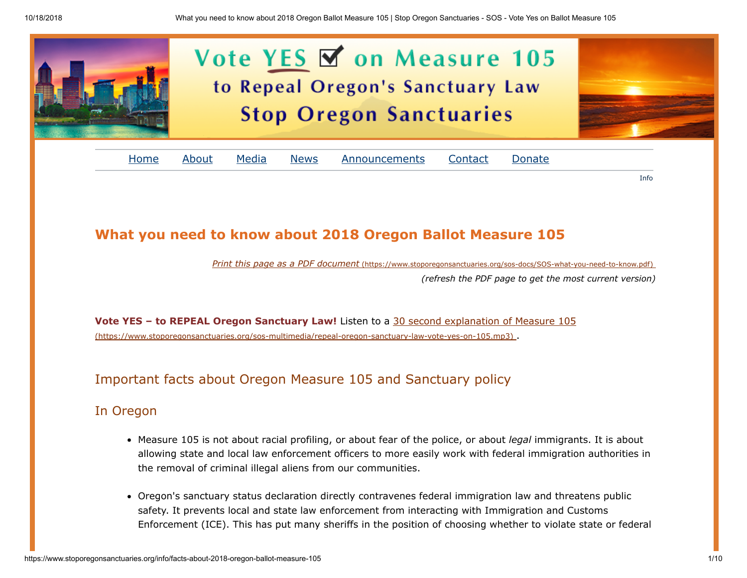

# What you need to know about 2018 Oregon Ballot Measure 105

Print this page as a PDF document [\(https://www.stoporegonsanctuaries.org/sos-docs/SOS-what-you-need-to-know.pdf\)](https://www.stoporegonsanctuaries.org/sos-docs/SOS-what-you-need-to-know.pdf)

(refresh the PDF page to get the most current version)

Info

Vote YES – to REPEAL Oregon Sanctuary Law! Listen to a 30 second explanation of Measure 105 [\(https://www.stoporegonsanctuaries.org/sos-multimedia/repeal-oregon-sanctuary-law-vote-yes-on-105.mp3\)](https://www.stoporegonsanctuaries.org/sos-multimedia/repeal-oregon-sanctuary-law-vote-yes-on-105.mp3) .

# Important facts about Oregon Measure 105 and Sanctuary policy

# In Oregon

- Measure 105 is not about racial profiling, or about fear of the police, or about legal immigrants. It is about allowing state and local law enforcement officers to more easily work with federal immigration authorities in the removal of criminal illegal aliens from our communities.
- Oregon's sanctuary status declaration directly contravenes federal immigration law and threatens public safety. It prevents local and state law enforcement from interacting with Immigration and Customs Enforcement (ICE). This has put many sheriffs in the position of choosing whether to violate state or federal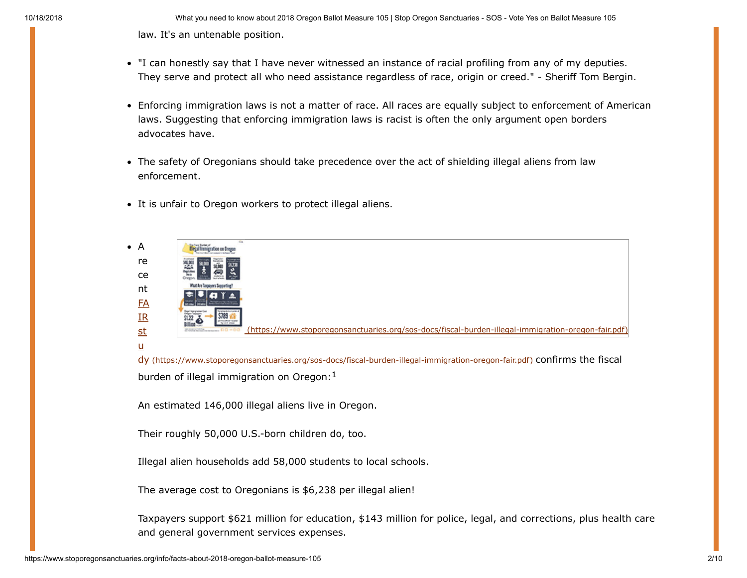10/18/2018 What you need to know about 2018 Oregon Ballot Measure 105 | Stop Oregon Sanctuaries - SOS - Vote Yes on Ballot Measure 105 law. It's an untenable position.

- "I can honestly say that I have never witnessed an instance of racial profiling from any of my deputies. They serve and protect all who need assistance regardless of race, origin or creed." - Sheriff Tom Bergin.
- Enforcing immigration laws is not a matter of race. All races are equally subject to enforcement of American laws. Suggesting that enforcing immigration laws is racist is often the only argument open borders advocates have.
- The safety of Oregonians should take precedence over the act of shielding illegal aliens from law enforcement.
- It is unfair to Oregon workers to protect illegal aliens.



dy [\(https://www.stoporegonsanctuaries.org/sos-docs/fiscal-burden-illegal-immigration-oregon-fair.pdf\)](https://www.stoporegonsanctuaries.org/sos-docs/fiscal-burden-illegal-immigration-oregon-fair.pdf) confirms the fiscal burden of illegal immigration on Oregon: 1

An estimated 146,000 illegal aliens live in Oregon.

Their roughly 50,000 U.S.-born children do, too.

Illegal alien households add 58,000 students to local schools.

The average cost to Oregonians is \$6,238 per illegal alien!

Taxpayers support \$621 million for education, \$143 million for police, legal, and corrections, plus health care and general government services expenses.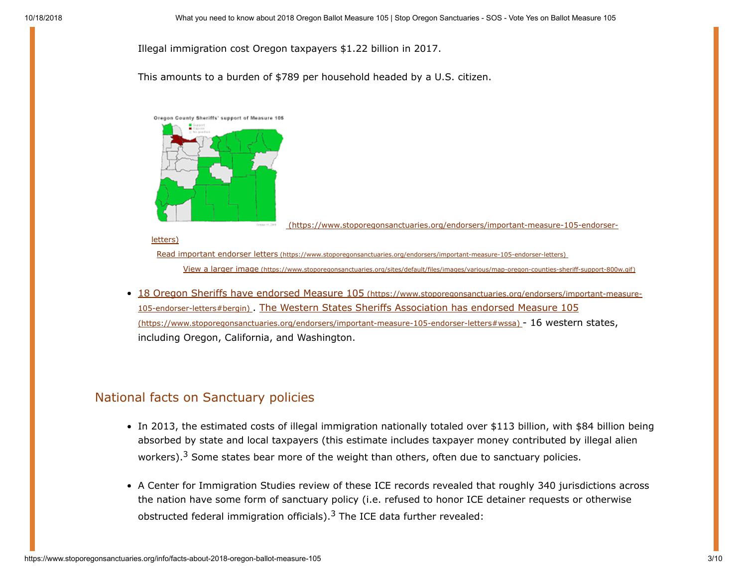Illegal immigration cost Oregon taxpayers \$1.22 billion in 2017.

Ornder H.298

This amounts to a burden of \$789 per household headed by a U.S. citizen.



 [\(https://www.stoporegonsanctuaries.org/endorsers/important-measure-105-endorser-](https://www.stoporegonsanctuaries.org/endorsers/important-measure-105-endorser-letters)

#### letters)

Read important endorser letters [\(https://www.stoporegonsanctuaries.org/endorsers/important-measure-105-endorser-letters\)](https://www.stoporegonsanctuaries.org/endorsers/important-measure-105-endorser-letters)

View a larger image [\(https://www.stoporegonsanctuaries.org/sites/default/files/images/various/map-oregon-counties-sheriff-support-800w.gif\)](https://www.stoporegonsanctuaries.org/sites/default/files/images/various/map-oregon-counties-sheriff-support-800w.gif)

18 Oregon Sheriffs have endorsed Measure 105 (https://www.stoporegonsanctuaries.org/endorsers/important-measure-105-endorser-letters#bergin) [. The Western States Sheriffs Association has endorsed Measure 105](https://www.stoporegonsanctuaries.org/endorsers/important-measure-105-endorser-letters#bergin) (https://www.stoporegonsanctuaries.org/endorsers/important-measure-105-endorser-letters#wssa) - 16 western states, including Oregon, California, and Washington.

### National facts on Sanctuary policies

- In 2013, the estimated costs of illegal immigration nationally totaled over \$113 billion, with \$84 billion being absorbed by state and local taxpayers (this estimate includes taxpayer money contributed by illegal alien workers).<sup>3</sup> Some states bear more of the weight than others, often due to sanctuary policies.
- A Center for Immigration Studies review of these ICE records revealed that roughly 340 jurisdictions across the nation have some form of sanctuary policy (i.e. refused to honor ICE detainer requests or otherwise obstructed federal immigration officials).<sup>3</sup> The ICE data further revealed: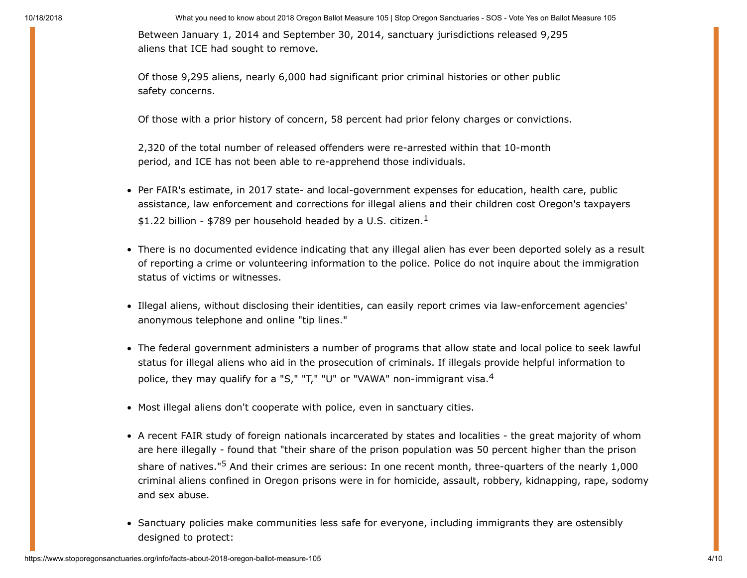10/18/2018 What you need to know about 2018 Oregon Ballot Measure 105 | Stop Oregon Sanctuaries - SOS - Vote Yes on Ballot Measure 105 Between January 1, 2014 and September 30, 2014, sanctuary jurisdictions released 9,295 aliens that ICE had sought to remove.

> Of those 9,295 aliens, nearly 6,000 had significant prior criminal histories or other public safety concerns.

Of those with a prior history of concern, 58 percent had prior felony charges or convictions.

2,320 of the total number of released offenders were re-arrested within that 10-month period, and ICE has not been able to re-apprehend those individuals.

- Per FAIR's estimate, in 2017 state- and local-government expenses for education, health care, public assistance, law enforcement and corrections for illegal aliens and their children cost Oregon's taxpayers \$1.22 billion - \$789 per household headed by a U.S. citizen.<sup>1</sup>
- There is no documented evidence indicating that any illegal alien has ever been deported solely as a result of reporting a crime or volunteering information to the police. Police do not inquire about the immigration status of victims or witnesses.
- Illegal aliens, without disclosing their identities, can easily report crimes via law-enforcement agencies' anonymous telephone and online "tip lines."
- The federal government administers a number of programs that allow state and local police to seek lawful status for illegal aliens who aid in the prosecution of criminals. If illegals provide helpful information to police, they may qualify for a "S," "T," "U" or "VAWA" non-immigrant visa.<sup>4</sup>
- Most illegal aliens don't cooperate with police, even in sanctuary cities.
- A recent FAIR study of foreign nationals incarcerated by states and localities the great majority of whom are here illegally - found that "their share of the prison population was 50 percent higher than the prison share of natives."5 And their crimes are serious: In one recent month, three-quarters of the nearly 1,000 criminal aliens confined in Oregon prisons were in for homicide, assault, robbery, kidnapping, rape, sodomy and sex abuse.
- Sanctuary policies make communities less safe for everyone, including immigrants they are ostensibly designed to protect: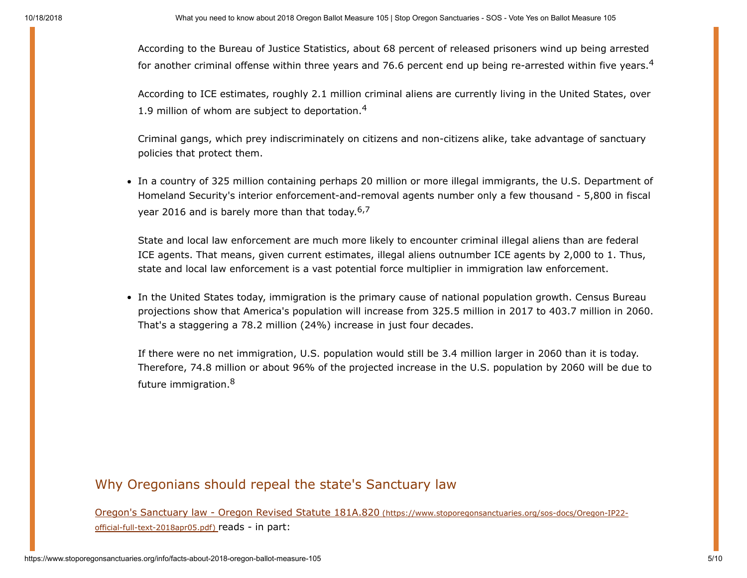According to the Bureau of Justice Statistics, about 68 percent of released prisoners wind up being arrested for another criminal offense within three years and 76.6 percent end up being re-arrested within five years.<sup>4</sup>

According to ICE estimates, roughly 2.1 million criminal aliens are currently living in the United States, over 1.9 million of whom are subject to deportation. $4$ 

Criminal gangs, which prey indiscriminately on citizens and non-citizens alike, take advantage of sanctuary policies that protect them.

In a country of 325 million containing perhaps 20 million or more illegal immigrants, the U.S. Department of Homeland Security's interior enforcement-and-removal agents number only a few thousand - 5,800 in fiscal year 2016 and is barely more than that today.  $6.7$ 

State and local law enforcement are much more likely to encounter criminal illegal aliens than are federal ICE agents. That means, given current estimates, illegal aliens outnumber ICE agents by 2,000 to 1. Thus, state and local law enforcement is a vast potential force multiplier in immigration law enforcement.

• In the United States today, immigration is the primary cause of national population growth. Census Bureau projections show that America's population will increase from 325.5 million in 2017 to 403.7 million in 2060. That's a staggering a 78.2 million (24%) increase in just four decades.

If there were no net immigration, U.S. population would still be 3.4 million larger in 2060 than it is today. Therefore, 74.8 million or about 96% of the projected increase in the U.S. population by 2060 will be due to future immigration.<sup>8</sup>

# Why Oregonians should repeal the state's Sanctuary law

[Oregon's Sanctuary law - Oregon Revised Statute 181A.820](https://www.stoporegonsanctuaries.org/sos-docs/Oregon-IP22-official-full-text-2018apr05.pdf) (https://www.stoporegonsanctuaries.org/sos-docs/Oregon-IP22 official-full-text-2018apr05.pdf) reads - in part: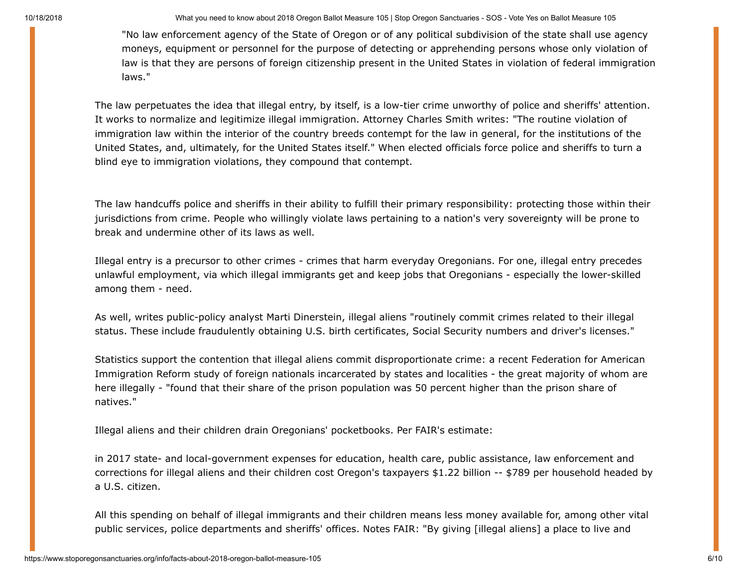10/18/2018 What you need to know about 2018 Oregon Ballot Measure 105 | Stop Oregon Sanctuaries - SOS - Vote Yes on Ballot Measure 105

"No law enforcement agency of the State of Oregon or of any political subdivision of the state shall use agency moneys, equipment or personnel for the purpose of detecting or apprehending persons whose only violation of law is that they are persons of foreign citizenship present in the United States in violation of federal immigration laws."

The law perpetuates the idea that illegal entry, by itself, is a low-tier crime unworthy of police and sheriffs' attention. It works to normalize and legitimize illegal immigration. Attorney Charles Smith writes: "The routine violation of immigration law within the interior of the country breeds contempt for the law in general, for the institutions of the United States, and, ultimately, for the United States itself." When elected officials force police and sheriffs to turn a blind eye to immigration violations, they compound that contempt.

The law handcuffs police and sheriffs in their ability to fulfill their primary responsibility: protecting those within their jurisdictions from crime. People who willingly violate laws pertaining to a nation's very sovereignty will be prone to break and undermine other of its laws as well.

Illegal entry is a precursor to other crimes - crimes that harm everyday Oregonians. For one, illegal entry precedes unlawful employment, via which illegal immigrants get and keep jobs that Oregonians - especially the lower-skilled among them - need.

As well, writes public-policy analyst Marti Dinerstein, illegal aliens "routinely commit crimes related to their illegal status. These include fraudulently obtaining U.S. birth certificates, Social Security numbers and driver's licenses."

Statistics support the contention that illegal aliens commit disproportionate crime: a recent Federation for American Immigration Reform study of foreign nationals incarcerated by states and localities - the great majority of whom are here illegally - "found that their share of the prison population was 50 percent higher than the prison share of natives."

Illegal aliens and their children drain Oregonians' pocketbooks. Per FAIR's estimate:

in 2017 state- and local-government expenses for education, health care, public assistance, law enforcement and corrections for illegal aliens and their children cost Oregon's taxpayers \$1.22 billion -- \$789 per household headed by a U.S. citizen.

All this spending on behalf of illegal immigrants and their children means less money available for, among other vital public services, police departments and sheriffs' offices. Notes FAIR: "By giving [illegal aliens] a place to live and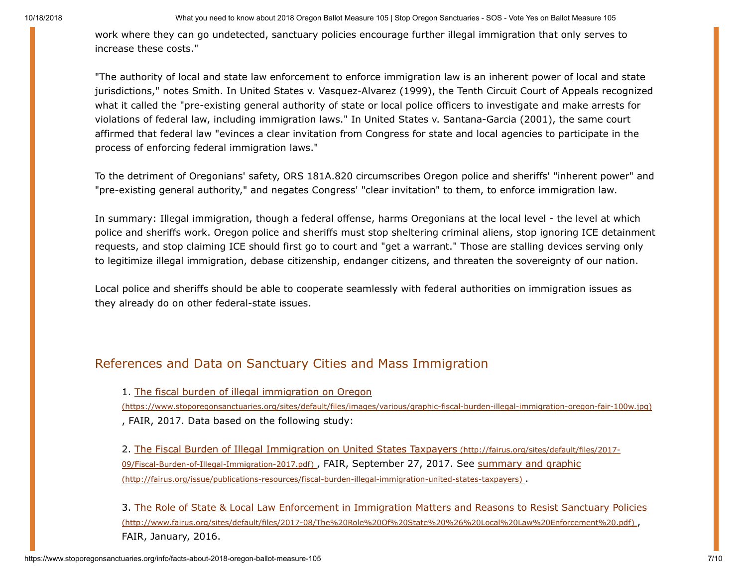10/18/2018 What you need to know about 2018 Oregon Ballot Measure 105 | Stop Oregon Sanctuaries - SOS - Vote Yes on Ballot Measure 105

work where they can go undetected, sanctuary policies encourage further illegal immigration that only serves to increase these costs."

"The authority of local and state law enforcement to enforce immigration law is an inherent power of local and state jurisdictions," notes Smith. In United States v. Vasquez-Alvarez (1999), the Tenth Circuit Court of Appeals recognized what it called the "pre-existing general authority of state or local police officers to investigate and make arrests for violations of federal law, including immigration laws." In United States v. Santana-Garcia (2001), the same court affirmed that federal law "evinces a clear invitation from Congress for state and local agencies to participate in the process of enforcing federal immigration laws."

To the detriment of Oregonians' safety, ORS 181A.820 circumscribes Oregon police and sheriffs' "inherent power" and "pre-existing general authority," and negates Congress' "clear invitation" to them, to enforce immigration law.

In summary: Illegal immigration, though a federal offense, harms Oregonians at the local level - the level at which police and sheriffs work. Oregon police and sheriffs must stop sheltering criminal aliens, stop ignoring ICE detainment requests, and stop claiming ICE should first go to court and "get a warrant." Those are stalling devices serving only to legitimize illegal immigration, debase citizenship, endanger citizens, and threaten the sovereignty of our nation.

Local police and sheriffs should be able to cooperate seamlessly with federal authorities on immigration issues as they already do on other federal-state issues.

## <span id="page-6-0"></span>References and Data on Sanctuary Cities and Mass Immigration

1. The fiscal burden of illegal immigration on Oregon

[\(https://www.stoporegonsanctuaries.org/sites/default/files/images/various/graphic-fiscal-burden-illegal-immigration-oregon-fair-100w.jpg\)](https://www.stoporegonsanctuaries.org/sites/default/files/images/various/graphic-fiscal-burden-illegal-immigration-oregon-fair-100w.jpg) , FAIR, 2017. Data based on the following study:

[2. The Fiscal Burden of Illegal Immigration on United States Taxpayers](http://fairus.org/sites/default/files/2017-09/Fiscal-Burden-of-Illegal-Immigration-2017.pdf) (http://fairus.org/sites/default/files/2017- 09/Fiscal-Burden-of-Illegal-Immigration-2017.pdf), FAIR, September 27, 2017. See summary and graphic [\(http://fairus.org/issue/publications-resources/fiscal-burden-illegal-immigration-united-states-taxpayers\)](http://fairus.org/issue/publications-resources/fiscal-burden-illegal-immigration-united-states-taxpayers) .

[3. The Role of State & Local Law Enforcement in Immigration Matters and Reasons to Resist Sanctuary Policies](http://www.fairus.org/sites/default/files/2017-08/The%20Role%20Of%20State%20%26%20Local%20Law%20Enforcement%20.pdf) (http://www.fairus.org/sites/default/files/2017-08/The%20Role%20Of%20State%20%26%20Local%20Law%20Enforcement%20.pdf) , FAIR, January, 2016.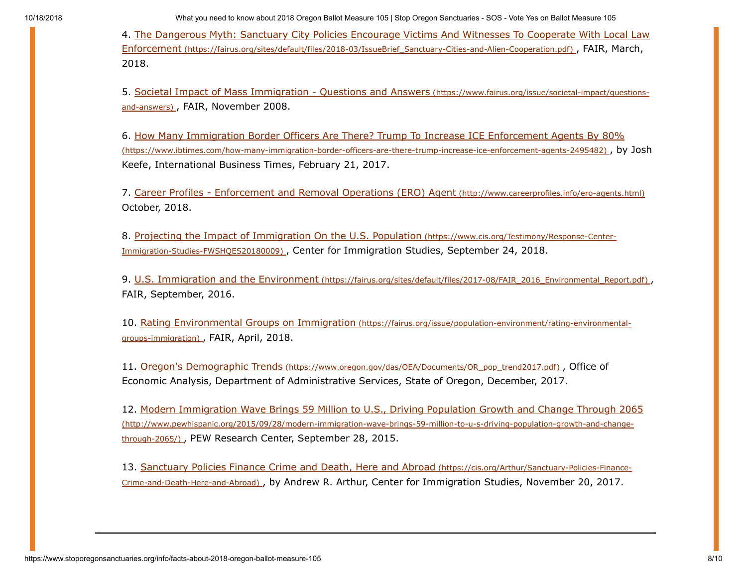10/18/2018 What you need to know about 2018 Oregon Ballot Measure 105 | Stop Oregon Sanctuaries - SOS - Vote Yes on Ballot Measure 105

[4. The Dangerous Myth: Sanctuary City Policies Encourage Victims And Witnesses To Cooperate With Local Law](https://fairus.org/sites/default/files/2018-03/IssueBrief_Sanctuary-Cities-and-Alien-Cooperation.pdf) Enforcement (https://fairus.org/sites/default/files/2018-03/IssueBrief\_Sanctuary-Cities-and-Alien-Cooperation.pdf) , FAIR, March, 2018.

[5. Societal Impact of Mass Immigration - Questions and Answers](https://www.fairus.org/issue/societal-impact/questions-and-answers) (https://www.fairus.org/issue/societal-impact/questionsand-answers), FAIR, November 2008.

[6. How Many Immigration Border Officers Are There? Trump To Increase ICE Enforcement Agents By 80%](https://www.ibtimes.com/how-many-immigration-border-officers-are-there-trump-increase-ice-enforcement-agents-2495482) (https://www.ibtimes.com/how-many-immigration-border-officers-are-there-trump-increase-ice-enforcement-agents-2495482) , by Josh Keefe, International Business Times, February 21, 2017.

7. [Career Profiles - Enforcement and Removal Operations \(ERO\) Agent](http://www.careerprofiles.info/ero-agents.html) (http://www.careerprofiles.info/ero-agents.html) October, 2018.

[8. Projecting the Impact of Immigration On the U.S. Population](https://www.cis.org/Testimony/Response-Center-Immigration-Studies-FWSHQES20180009) (https://www.cis.org/Testimony/Response-Center-Immigration-Studies-FWSHQES20180009) , Center for Immigration Studies, September 24, 2018.

9. U.S. Immigration and the Environment [\(https://fairus.org/sites/default/files/2017-08/FAIR\\_2016\\_Environmental\\_Report.pdf\)](https://fairus.org/sites/default/files/2017-08/FAIR_2016_Environmental_Report.pdf) , FAIR, September, 2016.

[10. Rating Environmental Groups on Immigration](https://fairus.org/issue/population-environment/rating-environmental-groups-immigration) (https://fairus.org/issue/population-environment/rating-environmentalgroups-immigration) , FAIR, April, 2018.

11. Oregon's Demographic Trends [\(https://www.oregon.gov/das/OEA/Documents/OR\\_pop\\_trend2017.pdf\)](https://www.oregon.gov/das/OEA/Documents/OR_pop_trend2017.pdf) , Office of Economic Analysis, Department of Administrative Services, State of Oregon, December, 2017.

[12. Modern Immigration Wave Brings 59 Million to U.S., Driving Population Growth and Change Through 2065](http://www.pewhispanic.org/2015/09/28/modern-immigration-wave-brings-59-million-to-u-s-driving-population-growth-and-change-through-2065/) (http://www.pewhispanic.org/2015/09/28/modern-immigration-wave-brings-59-million-to-u-s-driving-population-growth-and-changethrough-2065/) , PEW Research Center, September 28, 2015.

13. Sanctuary Policies Finance Crime and Death, Here and Abroad (https://cis.org/Arthur/Sanctuary-Policies-Finance-Crime-and-Death-Here-and-Abroad) [, by Andrew R. Arthur, Center for Immigration Studies, November 20, 2017.](https://cis.org/Arthur/Sanctuary-Policies-Finance-Crime-and-Death-Here-and-Abroad)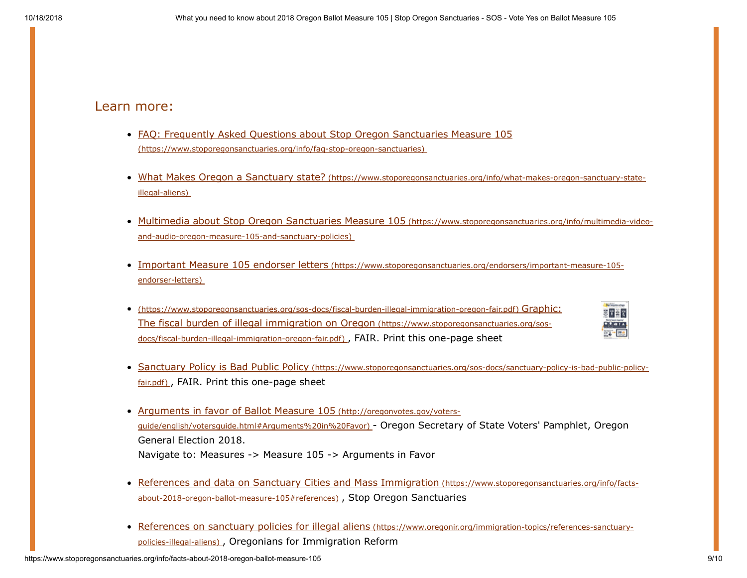# Learn more:

- [FAQ: Frequently Asked Questions about Stop Oregon Sanctuaries Measure 105](https://www.stoporegonsanctuaries.org/info/faq-stop-oregon-sanctuaries) (https://www.stoporegonsanctuaries.org/info/faq-stop-oregon-sanctuaries)
- What Makes Oregon a Sanctuary state? [\(https://www.stoporegonsanctuaries.org/info/what-makes-oregon-sanctuary-state](https://www.stoporegonsanctuaries.org/info/what-makes-oregon-sanctuary-state-illegal-aliens)illegal-aliens)
- [Multimedia about Stop Oregon Sanctuaries Measure 105](https://www.stoporegonsanctuaries.org/info/multimedia-video-and-audio-oregon-measure-105-and-sanctuary-policies) (https://www.stoporegonsanctuaries.org/info/multimedia-videoand-audio-oregon-measure-105-and-sanctuary-policies)
- Important Measure 105 endorser letters [\(https://www.stoporegonsanctuaries.org/endorsers/important-measure-105](https://www.stoporegonsanctuaries.org/endorsers/important-measure-105-endorser-letters) endorser-letters)
- [\(https://www.stoporegonsanctuaries.org/sos-docs/fiscal-burden-illegal-immigration-oregon-fair.pdf\)](https://www.stoporegonsanctuaries.org/sos-docs/fiscal-burden-illegal-immigration-oregon-fair.pdf) Graphic: The fiscal burden of illegal immigration on Oregon (https://www.stoporegonsanctuaries.org/sosdocs/fiscal-burden-illegal-immigration-oregon-fair.pdf) , FAIR. Print this one-page sheet



- Sanctuary Policy is Bad Public Policy [\(https://www.stoporegonsanctuaries.org/sos-docs/sanctuary-policy-is-bad-public-policy](https://www.stoporegonsanctuaries.org/sos-docs/sanctuary-policy-is-bad-public-policy-fair.pdf)fair.pdf), FAIR. Print this one-page sheet
- [Arguments in favor of Ballot Measure 105](http://oregonvotes.gov/voters-guide/english/votersguide.html#Arguments%20in%20Favor) (http://oregonvotes.gov/votersguide/english/votersguide.html#Arguments%20in%20Favor) - Oregon Secretary of State Voters' Pamphlet, Oregon General Election 2018. Navigate to: Measures -> Measure 105 -> Arguments in Favor
- [References and data on Sanctuary Cities and Mass Immigration](#page-6-0) (https://www.stoporegonsanctuaries.org/info/factsabout-2018-oregon-ballot-measure-105#references) , Stop Oregon Sanctuaries
- [References on sanctuary policies for illegal aliens](https://www.oregonir.org/immigration-topics/references-sanctuary-policies-illegal-aliens) (https://www.oregonir.org/immigration-topics/references-sanctuarypolicies-illegal-aliens) , Oregonians for Immigration Reform